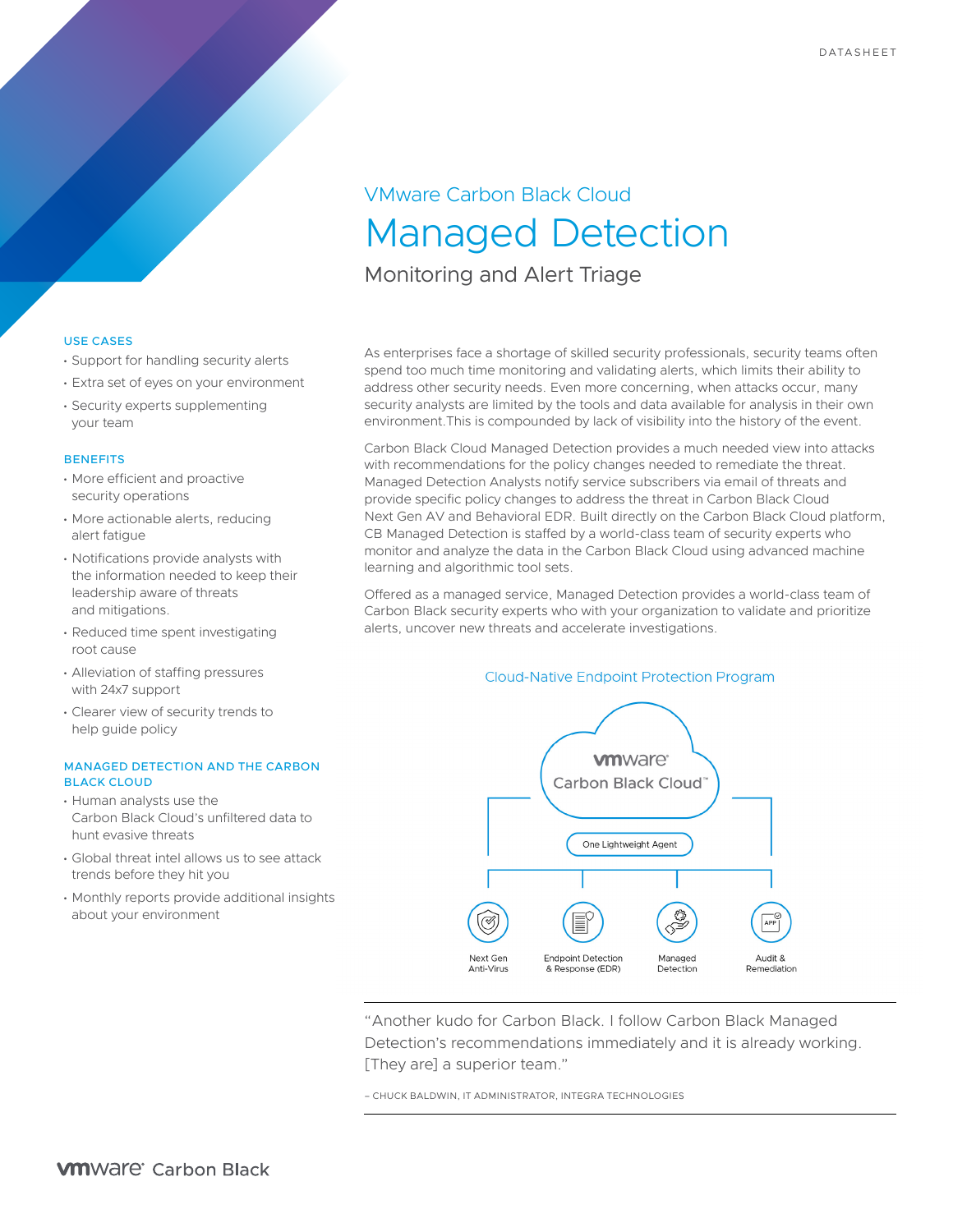# VMware Carbon Black Cloud Managed Detection

Monitoring and Alert Triage

## USE CASES

- Support for handling security alerts
- Extra set of eyes on your environment
- Security experts supplementing your team

## **BENEFITS**

- More efficient and proactive security operations
- More actionable alerts, reducing alert fatigue
- Notifications provide analysts with the information needed to keep their leadership aware of threats and mitigations.
- Reduced time spent investigating root cause
- Alleviation of staffing pressures with 24x7 support
- Clearer view of security trends to help guide policy

## MANAGED DETECTION AND THE CARBON BLACK CLOUD

- Human analysts use the Carbon Black Cloud's unfiltered data to hunt evasive threats
- Global threat intel allows us to see attack trends before they hit you
- Monthly reports provide additional insights about your environment

As enterprises face a shortage of skilled security professionals, security teams often spend too much time monitoring and validating alerts, which limits their ability to address other security needs. Even more concerning, when attacks occur, many security analysts are limited by the tools and data available for analysis in their own environment.This is compounded by lack of visibility into the history of the event.

Carbon Black Cloud Managed Detection provides a much needed view into attacks with recommendations for the policy changes needed to remediate the threat. Managed Detection Analysts notify service subscribers via email of threats and provide specific policy changes to address the threat in Carbon Black Cloud Next Gen AV and Behavioral EDR. Built directly on the Carbon Black Cloud platform, CB Managed Detection is staffed by a world-class team of security experts who monitor and analyze the data in the Carbon Black Cloud using advanced machine learning and algorithmic tool sets.

Offered as a managed service, Managed Detection provides a world-class team of Carbon Black security experts who with your organization to validate and prioritize alerts, uncover new threats and accelerate investigations.

# **Cloud-Native Endpoint Protection Program**



"Another kudo for Carbon Black. I follow Carbon Black Managed Detection's recommendations immediately and it is already working. [They are] a superior team."

– CHUCK BALDWIN, IT ADMINISTRATOR, INTEGRA TECHNOLOGIES